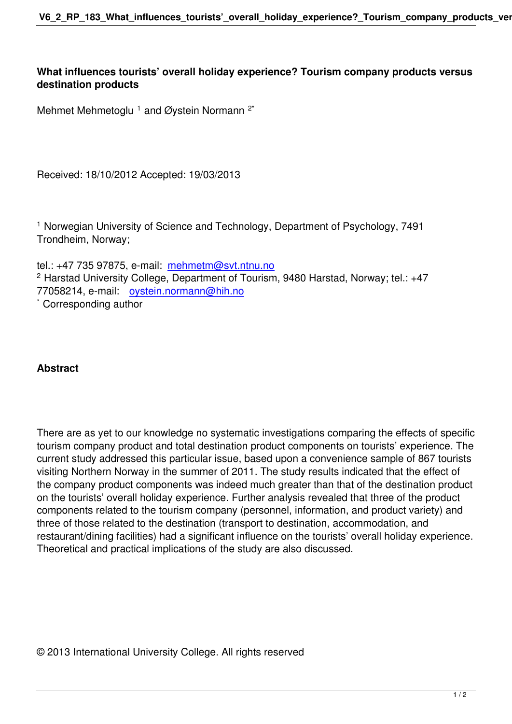**What influences tourists' overall holiday experience? Tourism company products versus destination products**

Mehmet Mehmetoglu <sup>1</sup> and Øystein Normann <sup>2\*</sup>

Received: 18/10/2012 Accepted: 19/03/2013

1 Norwegian University of Science and Technology, Department of Psychology, 7491 Trondheim, Norway;

tel.: +47 735 97875, e-mail: mehmetm@svt.ntnu.no 2 Harstad University College, Department of Tourism, 9480 Harstad, Norway; tel.: +47 77058214, e-mail: oystein.normann@hih.no

\* Corresponding author

## **Abstract**

There are as yet to our knowledge no systematic investigations comparing the effects of specific tourism company product and total destination product components on tourists' experience. The current study addressed this particular issue, based upon a convenience sample of 867 tourists visiting Northern Norway in the summer of 2011. The study results indicated that the effect of the company product components was indeed much greater than that of the destination product on the tourists' overall holiday experience. Further analysis revealed that three of the product components related to the tourism company (personnel, information, and product variety) and three of those related to the destination (transport to destination, accommodation, and restaurant/dining facilities) had a significant influence on the tourists' overall holiday experience. Theoretical and practical implications of the study are also discussed.

© 2013 International University College. All rights reserved